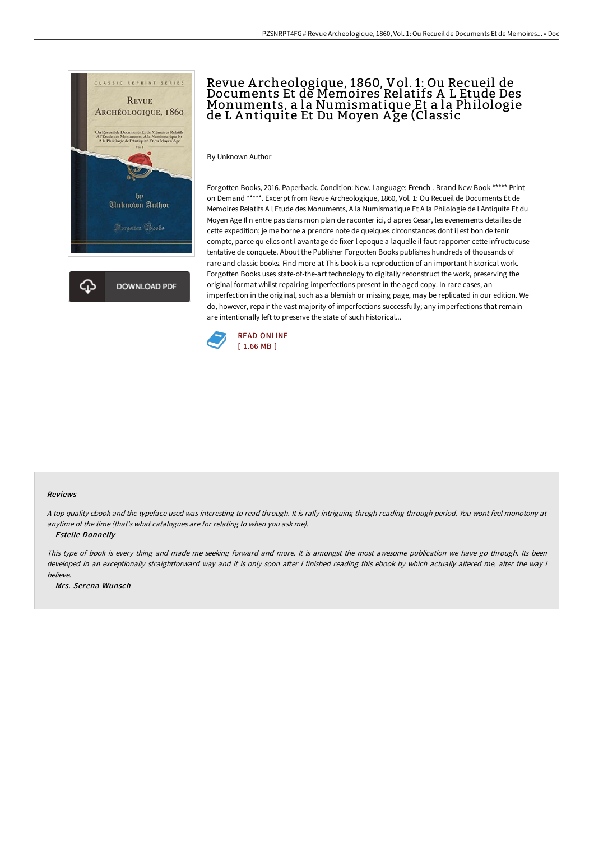

## Revue A rcheologique, 1860, Vol. 1: Ou Recueil de Documents Et de Memoires Relatifs A L Etude Des Monuments, a la Numismatique Et a la Philologie de L A ntiquite Et Du Moyen A ge (Classic

By Unknown Author

Forgotten Books, 2016. Paperback. Condition: New. Language: French . Brand New Book \*\*\*\*\* Print on Demand \*\*\*\*\*. Excerpt from Revue Archeologique, 1860, Vol. 1: Ou Recueil de Documents Et de Memoires Relatifs A l Etude des Monuments, A la Numismatique Et A la Philologie de l Antiquite Et du Moyen Age Il n entre pas dans mon plan de raconter ici, d apres Cesar, les evenements detailles de cette expedition; je me borne a prendre note de quelques circonstances dont il est bon de tenir compte, parce qu elles ont l avantage de fixer l epoque a laquelle il faut rapporter cette infructueuse tentative de conquete. About the Publisher Forgotten Books publishes hundreds of thousands of rare and classic books. Find more at This book is a reproduction of an important historical work. Forgotten Books uses state-of-the-art technology to digitally reconstruct the work, preserving the original format whilst repairing imperfections present in the aged copy. In rare cases, an imperfection in the original, such as a blemish or missing page, may be replicated in our edition. We do, however, repair the vast majority of imperfections successfully; any imperfections that remain are intentionally left to preserve the state of such historical...



## Reviews

<sup>A</sup> top quality ebook and the typeface used was interesting to read through. It is rally intriguing throgh reading through period. You wont feel monotony at anytime of the time (that's what catalogues are for relating to when you ask me).

-- Estelle Donnelly

This type of book is every thing and made me seeking forward and more. It is amongst the most awesome publication we have go through. Its been developed in an exceptionally straightforward way and it is only soon after i finished reading this ebook by which actually altered me, alter the way i believe.

-- Mrs. Serena Wunsch